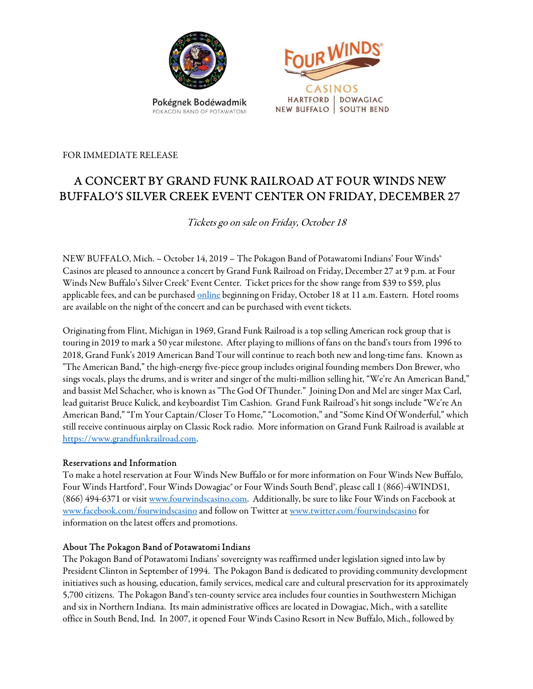

POKACON BAND OF POTAWATOMI



FOR IMMEDIATE RELEASE

# A CONCERT BY GRAND FUNK RAILROAD AT FOUR WINDS NEW BUFFALO'S SILVER CREEK EVENT CENTER ON FRIDAY, DECEMBER 27

Tickets go on sale on Friday, October 18

NEW BUFFALO, Mich. – October 14, 2019 – The Pokagon Band of Potawatomi Indians' Four Winds® Casinos are pleased to announce a concert by Grand Funk Railroad on Friday, December 27 at 9 p.m. at Four Winds New Buffalo's Silver Creek® Event Center. Ticket prices for the show range from \$39 to \$59, plus applicable fees, and can be purchased online beginning on Friday, October 18 at 11 a.m. Eastern. Hotel rooms are available on the night of the concert and can be purchased with event tickets.

Originating from Flint, Michigan in 1969, Grand Funk Railroad is a top selling American rock group that is touring in 2019 to mark a 50 year milestone. After playing to millions of fans on the band's tours from 1996 to 2018, Grand Funk's 2019 American Band Tour will continue to reach both new and long-time fans. Known as "The American Band," the high-energy five-piece group includes original founding members Don Brewer, who sings vocals, plays the drums, and is writer and singer of the multi-million selling hit, "We're An American Band," and bassist Mel Schacher, who is known as "The God Of Thunder." Joining Don and Mel are singer Max Carl, lead guitarist Bruce Kulick, and keyboardist Tim Cashion. Grand Funk Railroad's hit songs include "We're An American Band," "I'm Your Captain/Closer To Home," "Locomotion," and "Some Kind Of Wonderful," which still receive continuous airplay on Classic Rock radio. More information on Grand Funk Railroad is available at https://www.grandfunkrailroad.com.

#### Reservations and Information

To make a hotel reservation at Four Winds New Buffalo or for more information on Four Winds New Buffalo, Four Winds Hartford®, Four Winds Dowagiac® or Four Winds South Bend®, please call 1 (866)-4WINDS1, (866) 494-6371 or visit www.fourwindscasino.com. Additionally, be sure to like Four Winds on Facebook at www.facebook.com/fourwindscasino and follow on Twitter at www.twitter.com/fourwindscasino for information on the latest offers and promotions.

#### About The Pokagon Band of Potawatomi Indians

The Pokagon Band of Potawatomi Indians' sovereignty was reaffirmed under legislation signed into law by President Clinton in September of 1994. The Pokagon Band is dedicated to providing community development initiatives such as housing, education, family services, medical care and cultural preservation for its approximately 5,700 citizens. The Pokagon Band's ten-county service area includes four counties in Southwestern Michigan and six in Northern Indiana. Its main administrative offices are located in Dowagiac, Mich., with a satellite office in South Bend, Ind. In 2007, it opened Four Winds Casino Resort in New Buffalo, Mich., followed by